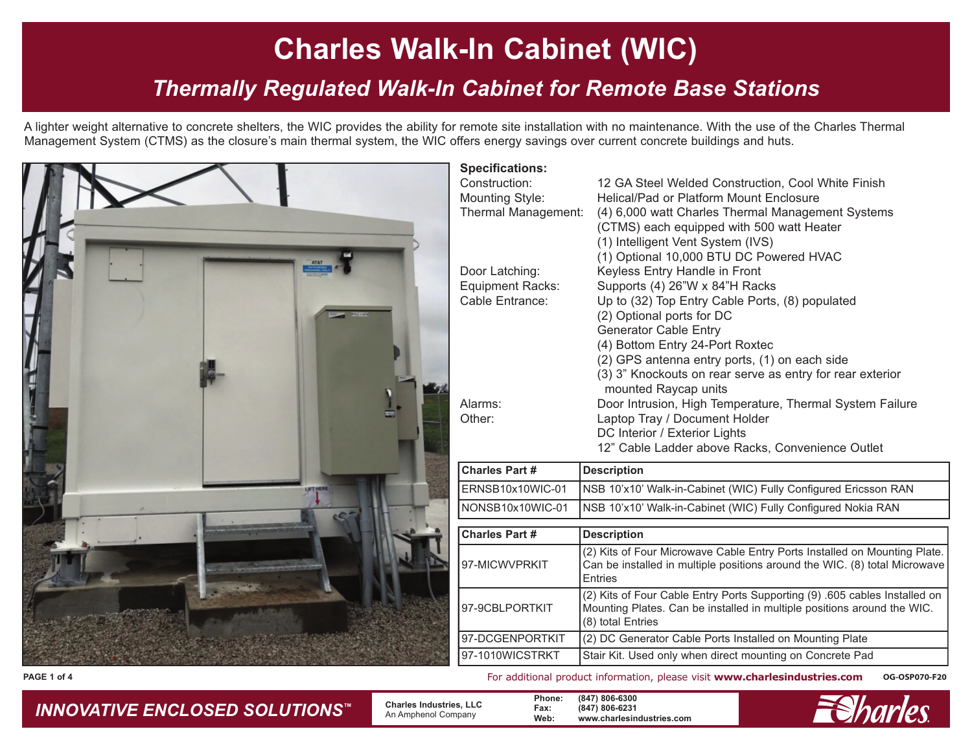### *Thermally Regulated Walk-In Cabinet for Remote Base Stations*

A lighter weight alternative to concrete shelters, the WIC provides the ability for remote site installation with no maintenance. With the use of the Charles Thermal Management System (CTMS) as the closure's main thermal system, the WIC offers energy savings over current concrete buildings and huts.

| <b>Specifications:</b><br>Construction:<br><b>Mounting Style:</b><br>Thermal Management:<br>Door Latching:<br><b>Equipment Racks:</b><br>Cable Entrance:<br>Alarms:<br>Other: | 12 GA Steel Welded Construction, Cool White Finish<br>Helical/Pad or Platform Mount Enclosure<br>(4) 6,000 watt Charles Thermal Management Systems<br>(CTMS) each equipped with 500 watt Heater<br>(1) Intelligent Vent System (IVS)<br>(1) Optional 10,000 BTU DC Powered HVAC<br>Keyless Entry Handle in Front<br>Supports (4) 26"W x 84"H Racks<br>Up to (32) Top Entry Cable Ports, (8) populated<br>(2) Optional ports for DC<br><b>Generator Cable Entry</b><br>(4) Bottom Entry 24-Port Roxtec<br>(2) GPS antenna entry ports, (1) on each side<br>(3) 3" Knockouts on rear serve as entry for rear exterior<br>mounted Raycap units<br>Door Intrusion, High Temperature, Thermal System Failure<br>Laptop Tray / Document Holder<br>DC Interior / Exterior Lights |
|-------------------------------------------------------------------------------------------------------------------------------------------------------------------------------|---------------------------------------------------------------------------------------------------------------------------------------------------------------------------------------------------------------------------------------------------------------------------------------------------------------------------------------------------------------------------------------------------------------------------------------------------------------------------------------------------------------------------------------------------------------------------------------------------------------------------------------------------------------------------------------------------------------------------------------------------------------------------|
| <b>Charles Part #</b>                                                                                                                                                         | 12" Cable Ladder above Racks, Convenience Outlet<br><b>Description</b>                                                                                                                                                                                                                                                                                                                                                                                                                                                                                                                                                                                                                                                                                                    |
| ERNSB10x10WIC-01                                                                                                                                                              | NSB 10'x10' Walk-in-Cabinet (WIC) Fully Configured Ericsson RAN                                                                                                                                                                                                                                                                                                                                                                                                                                                                                                                                                                                                                                                                                                           |
| NONSB10x10WIC-01                                                                                                                                                              | NSB 10'x10' Walk-in-Cabinet (WIC) Fully Configured Nokia RAN                                                                                                                                                                                                                                                                                                                                                                                                                                                                                                                                                                                                                                                                                                              |
| <b>Charles Part #</b>                                                                                                                                                         |                                                                                                                                                                                                                                                                                                                                                                                                                                                                                                                                                                                                                                                                                                                                                                           |
|                                                                                                                                                                               | <b>Description</b><br>(2) Kits of Four Microwave Cable Entry Ports Installed on Mounting Plate.                                                                                                                                                                                                                                                                                                                                                                                                                                                                                                                                                                                                                                                                           |
| 97-MICWVPRKIT                                                                                                                                                                 | Can be installed in multiple positions around the WIC. (8) total Microwave<br>Entries                                                                                                                                                                                                                                                                                                                                                                                                                                                                                                                                                                                                                                                                                     |
| 97-9CBLPORTKIT                                                                                                                                                                | (2) Kits of Four Cable Entry Ports Supporting (9) .605 cables Installed on<br>Mounting Plates. Can be installed in multiple positions around the WIC.<br>(8) total Entries                                                                                                                                                                                                                                                                                                                                                                                                                                                                                                                                                                                                |
| 97-DCGENPORTKIT                                                                                                                                                               | (2) DC Generator Cable Ports Installed on Mounting Plate                                                                                                                                                                                                                                                                                                                                                                                                                                                                                                                                                                                                                                                                                                                  |
| 97-1010WICSTRKT                                                                                                                                                               | Stair Kit. Used only when direct mounting on Concrete Pad                                                                                                                                                                                                                                                                                                                                                                                                                                                                                                                                                                                                                                                                                                                 |

**PAGE 1 of 4** For additional product information, please visit **www.charlesindustries.com OG-OSP070-F20**

### **INNOVATIVE ENCLOSED SOLUTIONS™** Charles Industries, LLC Phone: (847) 806-6300 Fax: (847) 806-6300 Fax: (847) 806-6231 Phone: (847) 806-6231 Web: www.charlesindustries.com

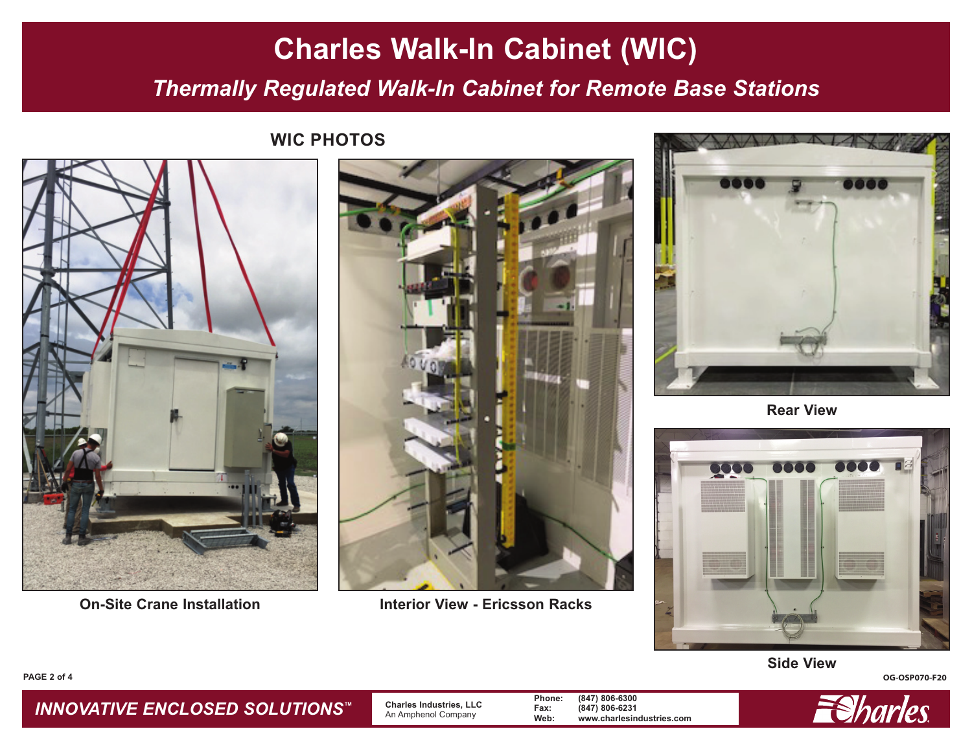### *Thermally Regulated Walk-In Cabinet for Remote Base Stations*

**WIC PHOTOS**





**On-Site Crane Installation Interior View - Ericsson Racks**



**Rear View**



**Side View**

**PAGE 2 of 4 OG-OSP070-F20**

**INNOVATIVE ENCLOSED SOLUTIONS™** Charles Industries, LLC Phone: (847) 806-6300 Fax: (847) 806-6300 Fax: (847) 806-6231 Meb: (847) 806-6231 Meb: exc.

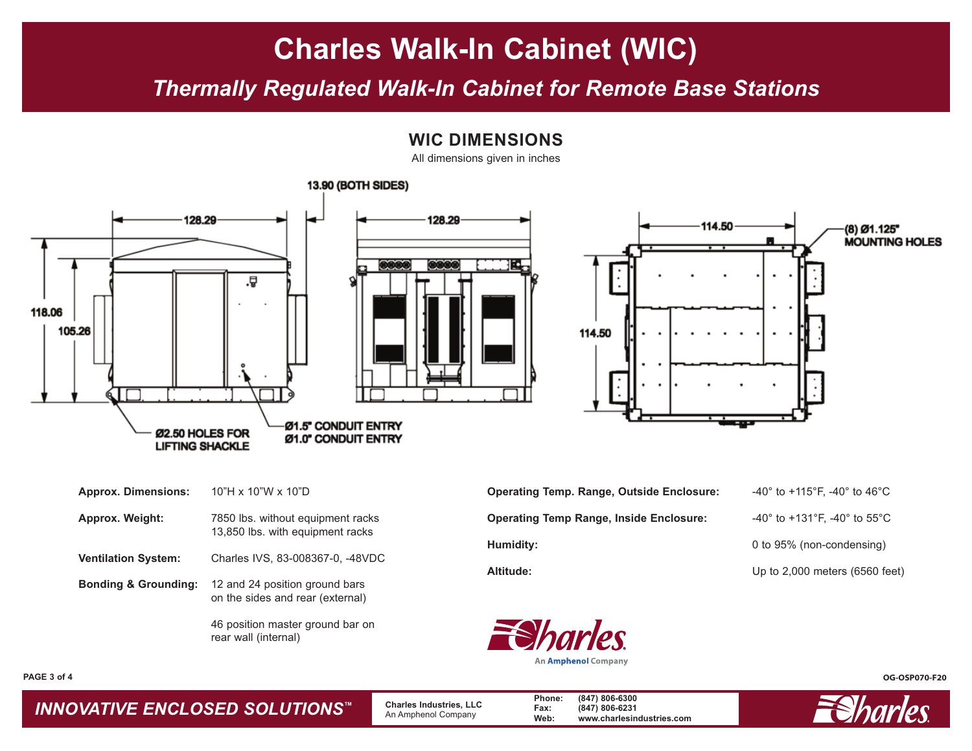*Thermally Regulated Walk-In Cabinet for Remote Base Stations* 

#### **WIC DIMENSIONS**

All dimensions given in inches

#### 13.90 (BOTH SIDES)



| <b>Approx. Dimensions:</b>      | 10"H x 10"W x 10"D                                                    |
|---------------------------------|-----------------------------------------------------------------------|
| Approx. Weight:                 | 7850 lbs. without equipment racks<br>13,850 lbs. with equipment racks |
| <b>Ventilation System:</b>      | Charles IVS, 83-008367-0, -48VDC                                      |
| <b>Bonding &amp; Grounding:</b> | 12 and 24 position ground bars<br>on the sides and rear (external)    |
|                                 | 46 position master ground bar on<br>rear wall (internal)              |



 $114.50$ 

| Operating Temp. Range, Outside Enclosure: | $-40^{\circ}$ to +115°F. -40° to 46°C. |
|-------------------------------------------|----------------------------------------|
| Operating Temp Range, Inside Enclosure:   | $-40^{\circ}$ to +131°F. -40° to 55°C  |
| Humidity:                                 | 0 to 95% (non-condensing)              |
| Altitude:                                 | Up to 2,000 meters (6560 feet)         |



**INNOVATIVE ENCLOSED SOLUTIONS™** Charles Industries, LLC Phone: (847) 806-6300 Fax: (847) 806-6300 Fax: (847) 806-6231 Phone: (847) 806-6231 Web: www.charlesindustries.com



(8) Ø1.125"

**MOUNTING HOLES** 

**PAGE 3 of 4 OG-OSP070-F20**